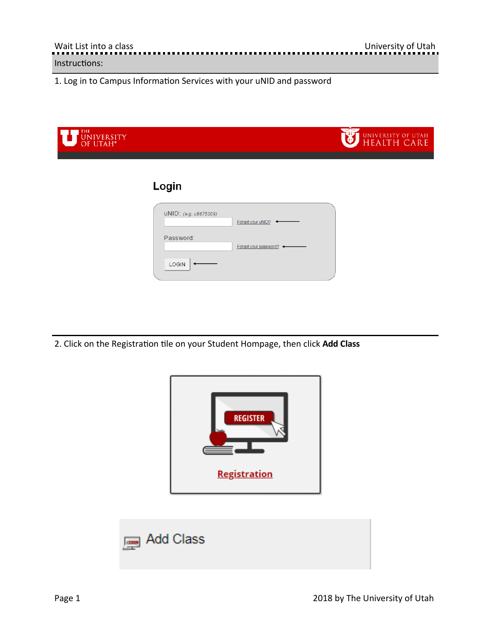1. Log in to Campus Information Services with your uNID and password

| THE UNIVERSITY |                                                         | UNIVERSITY OF UTAH<br>HEALTH CARE |
|----------------|---------------------------------------------------------|-----------------------------------|
|                | Login                                                   |                                   |
|                | UNID: (e.g. u8675309)<br>Forgot your uNID?<br>Password: |                                   |
|                | Forgot your password? +<br><b>LOGIN</b>                 |                                   |

2. Click on the Registration tile on your Student Hompage, then click Add Class



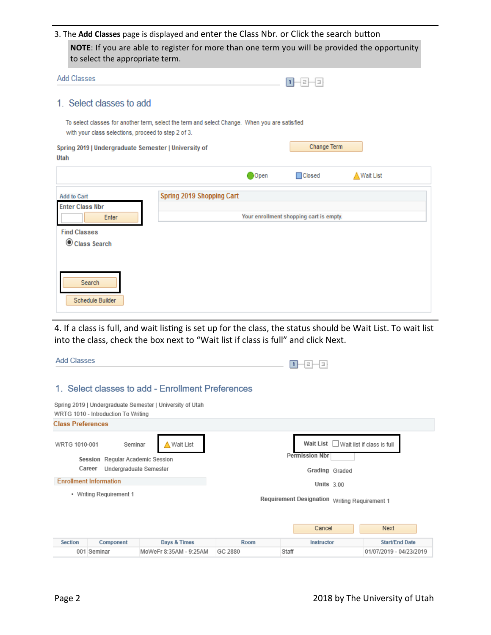3. The Add Classes page is displayed and enter the Class Nbr. or Click the search button

**NOTE**: If you are able to register for more than one term you will be provided the opportunity to select the appropriate term.

| <b>Add Classes</b>                                                                                                                                   |                           |      | Е                                       |                   |
|------------------------------------------------------------------------------------------------------------------------------------------------------|---------------------------|------|-----------------------------------------|-------------------|
| 1. Select classes to add                                                                                                                             |                           |      |                                         |                   |
| To select classes for another term, select the term and select Change. When you are satisfied<br>with your class selections, proceed to step 2 of 3. |                           |      |                                         |                   |
| Spring 2019   Undergraduate Semester   University of<br>Utah                                                                                         |                           |      | Change Term                             |                   |
|                                                                                                                                                      |                           | Open | <b>□</b> Closed                         | <b>△Wait List</b> |
| <b>Add to Cart</b><br><b>Enter Class Nbr</b><br>Enter<br><b>Find Classes</b><br>Class Search                                                         | Spring 2019 Shopping Cart |      | Your enrollment shopping cart is empty. |                   |
| Search<br>Schedule Builder                                                                                                                           |                           |      |                                         |                   |

4. If a class is full, and wait listing is set up for the class, the status should be Wait List. To wait list into the class, check the box next to "Wait list if class is full" and click Next.

| <b>Add Classes</b>       |                                     |                                                           |         | łэ<br>2                                       |                            |
|--------------------------|-------------------------------------|-----------------------------------------------------------|---------|-----------------------------------------------|----------------------------|
|                          |                                     | 1. Select classes to add - Enrollment Preferences         |         |                                               |                            |
|                          | WRTG 1010 - Introduction To Writing | Spring 2019   Undergraduate Semester   University of Utah |         |                                               |                            |
| <b>Class Preferences</b> |                                     |                                                           |         |                                               |                            |
| WRTG 1010-001            | Seminar                             | Wait List                                                 |         | Wait List                                     | Wait list if class is full |
|                          | Session Regular Academic Session    |                                                           |         | <b>Permission Nbr</b>                         |                            |
|                          | Career<br>Undergraduate Semester    |                                                           |         | Grading Graded                                |                            |
|                          | <b>Enrollment Information</b>       |                                                           |         | Units $3.00$                                  |                            |
|                          | • Writing Requirement 1             |                                                           |         | Requirement Designation Writing Requirement 1 |                            |
|                          |                                     |                                                           |         | Cancel                                        | Next                       |
| <b>Section</b>           | Component                           | Days & Times                                              | Room    | Instructor                                    | <b>Start/End Date</b>      |
|                          | 001 Seminar                         | MoWeFr 8:35AM - 9:25AM                                    | GC 2880 | Staff                                         | 01/07/2019 - 04/23/2019    |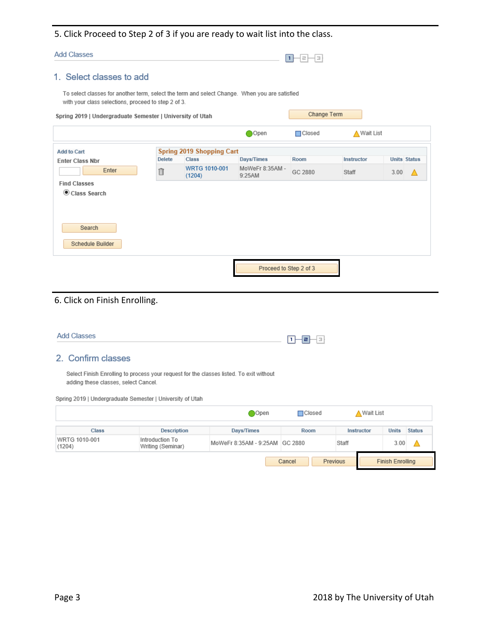# 5. Click Proceed to Step 2 of 3 if you are ready to wait list into the class.

| <b>Add Classes</b>                                                                                                                                   |               |                                  |                           | E<br>п<br>Ξ   |             |                     |  |
|------------------------------------------------------------------------------------------------------------------------------------------------------|---------------|----------------------------------|---------------------------|---------------|-------------|---------------------|--|
| 1. Select classes to add                                                                                                                             |               |                                  |                           |               |             |                     |  |
| To select classes for another term, select the term and select Change. When you are satisfied<br>with your class selections, proceed to step 2 of 3. |               |                                  |                           |               |             |                     |  |
| Spring 2019   Undergraduate Semester   University of Utah                                                                                            |               |                                  |                           | Change Term   |             |                     |  |
|                                                                                                                                                      |               |                                  | Open                      | $\Box$ Closed | ∧ Wait List |                     |  |
| <b>Add to Cart</b>                                                                                                                                   |               | <b>Spring 2019 Shopping Cart</b> |                           |               |             |                     |  |
| <b>Enter Class Nbr</b>                                                                                                                               | <b>Delete</b> | <b>Class</b>                     | Days/Times                | Room          | Instructor  | <b>Units Status</b> |  |
| Enter                                                                                                                                                | 団             | WRTG 1010-001<br>(1204)          | MoWeFr 8:35AM -<br>9:25AM | GC 2880       | Staff       | 3.00                |  |
| <b>Find Classes</b>                                                                                                                                  |               |                                  |                           |               |             |                     |  |
| Class Search                                                                                                                                         |               |                                  |                           |               |             |                     |  |
|                                                                                                                                                      |               |                                  |                           |               |             |                     |  |
|                                                                                                                                                      |               |                                  |                           |               |             |                     |  |
| Search                                                                                                                                               |               |                                  |                           |               |             |                     |  |
| Schedule Builder                                                                                                                                     |               |                                  |                           |               |             |                     |  |
|                                                                                                                                                      |               |                                  | Proceed to Step 2 of 3    |               |             |                     |  |

# 6. Click on Finish Enrolling.

| <b>Add Classes</b>                                                                                                                                                                           |                                      |                                | 12 H<br>⊣≊⊦<br>  1 |                    |              |               |
|----------------------------------------------------------------------------------------------------------------------------------------------------------------------------------------------|--------------------------------------|--------------------------------|--------------------|--------------------|--------------|---------------|
| 2. Confirm classes                                                                                                                                                                           |                                      |                                |                    |                    |              |               |
| Select Finish Enrolling to process your request for the classes listed. To exit without<br>adding these classes, select Cancel.<br>Spring 2019   Undergraduate Semester   University of Utah |                                      |                                |                    |                    |              |               |
|                                                                                                                                                                                              |                                      | Open                           | $\Box$ Closed      | <b>△ Wait List</b> |              |               |
| <b>Class</b>                                                                                                                                                                                 | <b>Description</b>                   | Days/Times                     | Room               | Instructor         | <b>Units</b> | <b>Status</b> |
| WRTG 1010-001<br>(1204)                                                                                                                                                                      | Introduction To<br>Writing (Seminar) | MoWeFr 8:35AM - 9:25AM GC 2880 |                    | Staff              | 3.00         |               |

Previous

Cancel

I

**Finish Enrolling**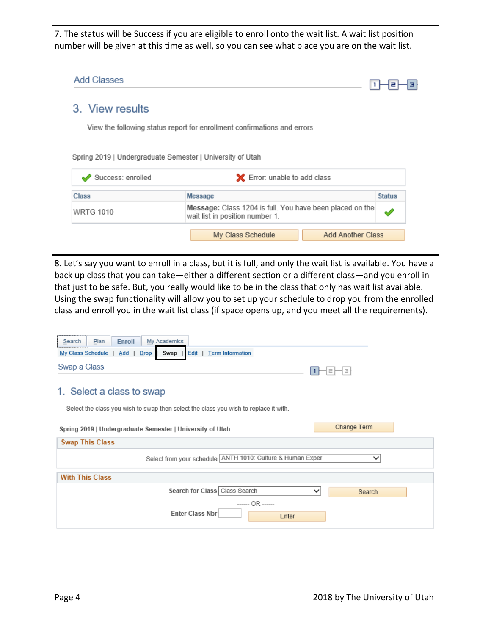7. The status will be Success if you are eligible to enroll onto the wait list. A wait list position number will be given at this time as well, so you can see what place you are on the wait list.

| Add Classes       |                                                                                             | е             |
|-------------------|---------------------------------------------------------------------------------------------|---------------|
| 3. View results   |                                                                                             |               |
|                   | View the following status report for enrollment confirmations and errors                    |               |
|                   | Spring 2019   Undergraduate Semester   University of Utah                                   |               |
| Success: enrolled | X Error: unable to add class                                                                |               |
| <b>Class</b>      | Message                                                                                     | <b>Status</b> |
| <b>WRTG 1010</b>  | Message: Class 1204 is full. You have been placed on the<br>wait list in position number 1. |               |

8. Let's say you want to enroll in a class, but it is full, and only the wait list is available. You have a back up class that you can take—either a different section or a different class—and you enroll in that just to be safe. But, you really would like to be in the class that only has wait list available. Using the swap functionality will allow you to set up your schedule to drop you from the enrolled class and enroll you in the wait list class (if space opens up, and you meet all the requirements).

| Search<br><b>Enroll</b><br>My Academics<br><b>Plan</b>                               |                       |
|--------------------------------------------------------------------------------------|-----------------------|
| Edit   Term Information<br>My Class Schedule<br>$Add$  <br>Drop<br>Swap              |                       |
| Swap a Class                                                                         | łэ<br>$\equiv$        |
| 1. Select a class to swap                                                            |                       |
| Select the class you wish to swap then select the class you wish to replace it with. |                       |
| Spring 2019   Undergraduate Semester   University of Utah                            | Change Term           |
| <b>Swap This Class</b>                                                               |                       |
| Select from your schedule ANTH 1010: Culture & Human Exper                           |                       |
| <b>With This Class</b>                                                               |                       |
| Search for Class<br>Class Search                                                     | $\check{ }$<br>Search |
| $---OR$ ------<br><b>Enter Class Nbr</b><br>Enter                                    |                       |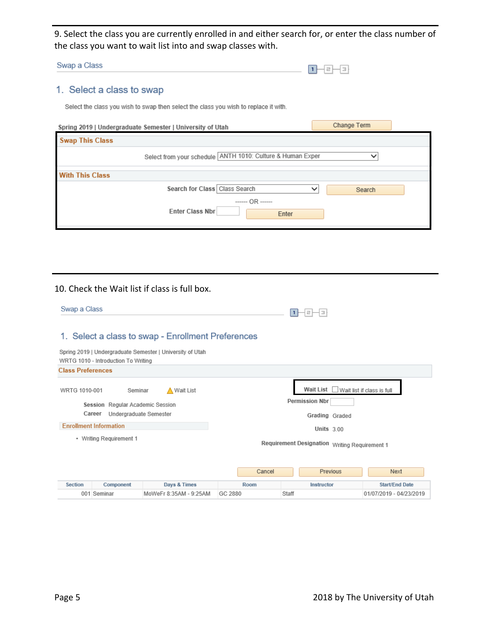9. Select the class you are currently enrolled in and either search for, or enter the class number of the class you want to wait list into and swap classes with.

| ____<br>Swap a C<br>Class |  | ┈ |  |
|---------------------------|--|---|--|
|                           |  |   |  |

# 1. Select a class to swap

Select the class you wish to swap then select the class you wish to replace it with.

| Spring 2019   Undergraduate Semester   University of Utah    | Change Term |
|--------------------------------------------------------------|-------------|
| <b>Swap This Class</b>                                       |             |
| Select from your schedule ANTH 1010: Culture & Human Exper   |             |
| <b>With This Class</b>                                       |             |
| Search for Class Class Search                                | ັ<br>Search |
| $  \cap$ $\mathbb{R}$ $-$<br><b>Enter Class Nbr</b><br>Enter |             |

#### 10. Check the Wait list if class is full box.

| Swap a Class             |                                                                      |                                                           |         | Е                                             |                         |
|--------------------------|----------------------------------------------------------------------|-----------------------------------------------------------|---------|-----------------------------------------------|-------------------------|
|                          |                                                                      | 1. Select a class to swap - Enrollment Preferences        |         |                                               |                         |
|                          | WRTG 1010 - Introduction To Writing                                  | Spring 2019   Undergraduate Semester   University of Utah |         |                                               |                         |
| <b>Class Preferences</b> |                                                                      |                                                           |         |                                               |                         |
| WRTG 1010-001            | Seminar                                                              | ∧ Wait List                                               |         | Wait List                                     |                         |
|                          | Session Regular Academic Session<br>Career<br>Undergraduate Semester |                                                           |         | <b>Permission Nbr</b><br>Grading Graded       |                         |
|                          | <b>Enrollment Information</b>                                        |                                                           |         | Units $3.00$                                  |                         |
|                          | • Writing Requirement 1                                              |                                                           |         | Requirement Designation Writing Requirement 1 |                         |
|                          |                                                                      |                                                           | Cancel  | Previous                                      | Next                    |
| <b>Section</b>           | Component                                                            | Days & Times                                              | Room    | Instructor                                    | <b>Start/End Date</b>   |
|                          | 001 Seminar                                                          | MoWeFr 8:35AM - 9:25AM                                    | GC 2880 | Staff                                         | 01/07/2019 - 04/23/2019 |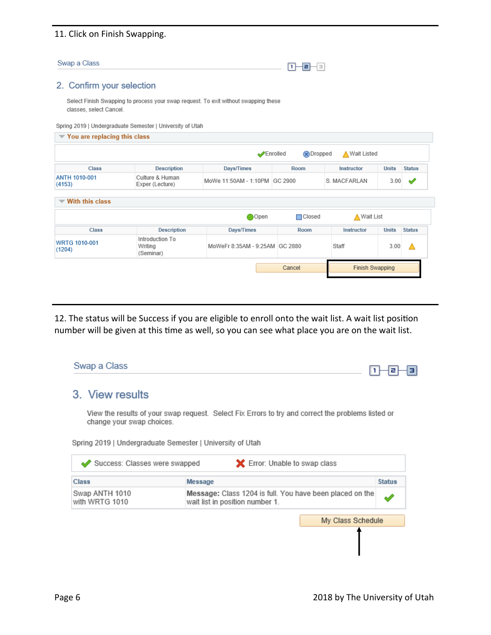## 11. Click on Finish Swapping.

| Swap a Class | −<br>۰ |
|--------------|--------|
|              |        |

## 2. Confirm your selection

Select Finish Swapping to process your swap request. To exit without swapping these classes, select Cancel.

Spring 2019 | Undergraduate Semester | University of Utah

| $\blacktriangledown$ You are replacing this class |                                         |                                |                                 |                 |              |               |
|---------------------------------------------------|-----------------------------------------|--------------------------------|---------------------------------|-----------------|--------------|---------------|
|                                                   |                                         |                                | Enrolled<br>$\circledR$ Dropped | ∧ Wait Listed   |              |               |
| <b>Class</b>                                      | <b>Description</b>                      | Days/Times                     | Room                            | Instructor      | <b>Units</b> | <b>Status</b> |
| <b>ANTH 1010-001</b><br>(4153)                    | Culture & Human<br>Exper (Lecture)      | MoWe 11:50AM - 1:10PM GC 2900  |                                 | S. MACFARLAN    | 3.00         | ✔             |
| $\blacktriangledown$ With this class              |                                         |                                |                                 |                 |              |               |
|                                                   |                                         | ∩Open                          | $\Box$ Closed                   | ∧ Wait List     |              |               |
| Class                                             | <b>Description</b>                      | Days/Times                     | Room                            | Instructor      | <b>Units</b> | <b>Status</b> |
| WRTG 1010-001<br>(1204)                           | Introduction To<br>Writing<br>(Seminar) | MoWeFr 8:35AM - 9:25AM GC 2880 |                                 | Staff           | 3.00         | Δ             |
|                                                   |                                         |                                | Cancel                          | Finish Swapping |              |               |

12. The status will be Success if you are eligible to enroll onto the wait list. A wait list position number will be given at this time as well, so you can see what place you are on the wait list.

| Swap a Class                     |                                                                                                                                                                 |               |
|----------------------------------|-----------------------------------------------------------------------------------------------------------------------------------------------------------------|---------------|
| 3. View results                  |                                                                                                                                                                 |               |
| change your swap choices.        | View the results of your swap request. Select Fix Errors to try and correct the problems listed or<br>Spring 2019   Undergraduate Semester   University of Utah |               |
| Success: Classes were swapped    | <b>X</b> Error: Unable to swap class                                                                                                                            |               |
| Class                            | Message                                                                                                                                                         | <b>Status</b> |
| Swap ANTH 1010<br>with WRTG 1010 | Message: Class 1204 is full. You have been placed on the<br>wait list in position number 1.                                                                     |               |
|                                  | My Class Schedule                                                                                                                                               |               |
|                                  |                                                                                                                                                                 |               |